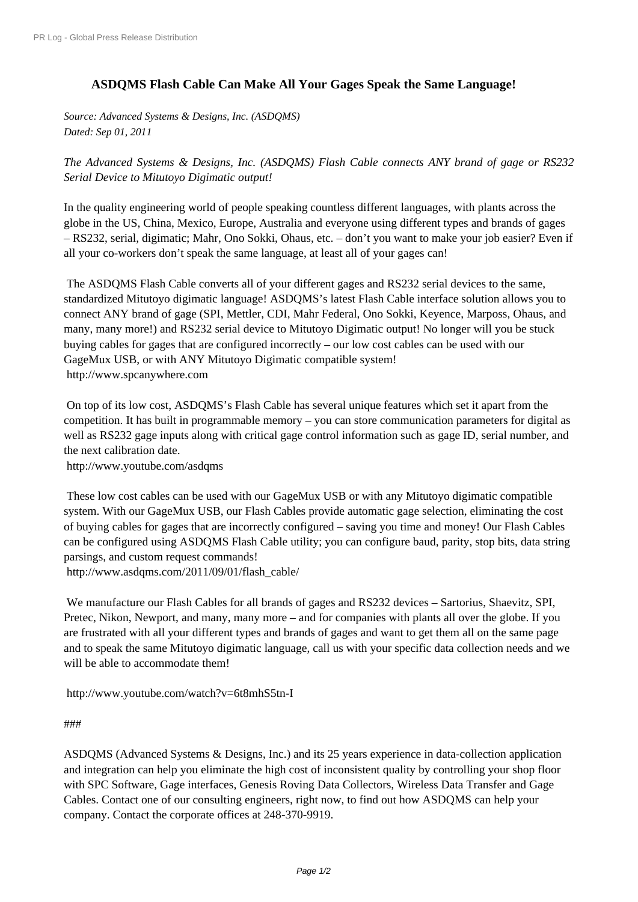## **[ASDQMS Flash Ca](http://www.prlog.org/)ble Can Make All Your Gages Speak the Same Language!**

*Source: Advanced Systems & Designs, Inc. (ASDQMS) Dated: Sep 01, 2011*

*The Advanced Systems & Designs, Inc. (ASDQMS) Flash Cable connects ANY brand of gage or RS232 Serial Device to Mitutoyo Digimatic output!*

In the quality engineering world of people speaking countless different languages, with plants across the globe in the US, China, Mexico, Europe, Australia and everyone using different types and brands of gages – RS232, serial, digimatic; Mahr, Ono Sokki, Ohaus, etc. – don't you want to make your job easier? Even if all your co-workers don't speak the same language, at least all of your gages can!

 The ASDQMS Flash Cable converts all of your different gages and RS232 serial devices to the same, standardized Mitutoyo digimatic language! ASDQMS's latest Flash Cable interface solution allows you to connect ANY brand of gage (SPI, Mettler, CDI, Mahr Federal, Ono Sokki, Keyence, Marposs, Ohaus, and many, many more!) and RS232 serial device to Mitutoyo Digimatic output! No longer will you be stuck buying cables for gages that are configured incorrectly – our low cost cables can be used with our GageMux USB, or with ANY Mitutoyo Digimatic compatible system! http://www.spcanywhere.com

 On top of its low cost, ASDQMS's Flash Cable has several unique features which set it apart from the competition. It has built in programmable memory – you can store communication parameters for digital as [well as RS232 gage inputs alon](http://www.prlog.org/11644201.html)g with critical gage control information such as gage ID, serial number, and the next calibration date.

http://www.youtube.com/asdqms

 These low cost cables can be used with our GageMux USB or with any Mitutoyo digimatic compatible system. With our GageMux USB, our Flash Cables provide automatic gage selection, eliminating the cost [of buying cables for gages that are](http://www.prlog.org/11644201.html) incorrectly configured – saving you time and money! Our Flash Cables can be configured using ASDQMS Flash Cable utility; you can configure baud, parity, stop bits, data string parsings, and custom request commands!

http://www.asdqms.com/2011/09/01/flash\_cable/

 We manufacture our Flash Cables for all brands of gages and RS232 devices – Sartorius, Shaevitz, SPI, Pretec, Nikon, Newport, and many, many more – and for companies with plants all over the globe. If you [are frustrated with all your different types and bran](http://www.prlog.org/11644201.html)ds of gages and want to get them all on the same page and to speak the same Mitutoyo digimatic language, call us with your specific data collection needs and we will be able to accommodate them!

http://www.youtube.com/watch?v=6t8mhS5tn-I

## ###

[ASDQMS \(Advanced Systems & Designs, Inc.\)](http://www.prlog.org/11644201.html) and its 25 years experience in data-collection application and integration can help you eliminate the high cost of inconsistent quality by controlling your shop floor [with](http://www.prlog.org/11644201.html) SPC Software, Gage interfaces, Genesis Roving Data Collectors, Wireless Data Transfer and Gage Cables. Contact one of our consulting engineers, right now, to find out how ASDQMS can help your [company.](http://www.prlog.org/11644201.html) Contact the corporate offices at 248-370-9919.